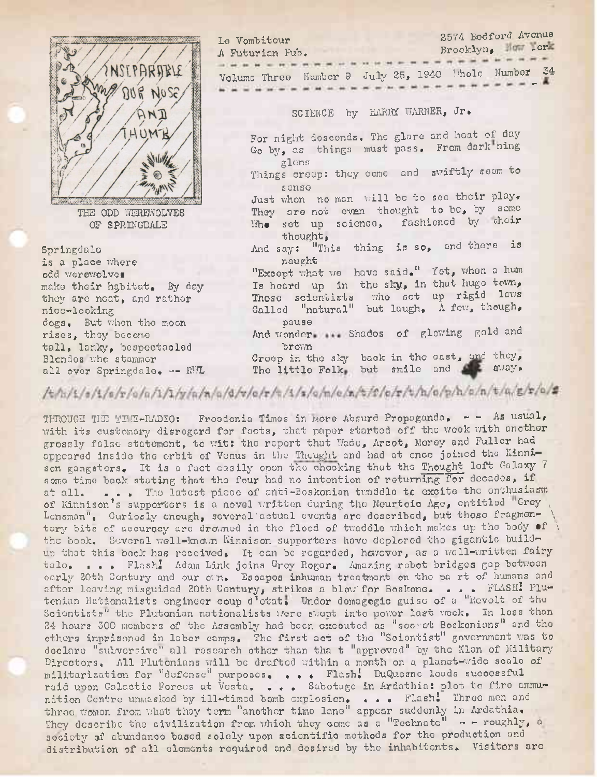

THE ODD YffiREWOLVES OF SPRINGDALE

Springdale is a place where odd werewolves make their habitat, By day they are neat, and rather nice-looking dogs. But when the moon rises, they become tall, lanky, bespectacled Blendos who stammer all over Springdale, — RFJL Le Vombitcur 2574 Bodford Avenue A Futurian Pub. Brooklyn, Northern Volume Throo Number 9 July 25, 1940 'Thole Number 34

SCIENCE by HARMY WARNER, Jr.

For night descends. The glare and heat of day Go by, as things must pass. From dark ning glens

Things creep: they come and swiftly seem to sense

Just when no man will be to see their play. They are not even thought to be, by some Whe set up science, fashioned by their thought,

And say: "This thing is so, and there is naught

"Except what we have said." Yet, when a hum Is heard up in the sky, in that huge town, Those scientists who sot up rigid laws Called "natural" but laugh. <sup>A</sup> few, though, pause

And wonder. Shades of glowing gold and brown

Creep in the sky back in the east, and they, The little Folk, but smile and a away.

## /c/h/t/s/t/s/t/s/r/a/h/1/1/y/a/n/a/d/v/c/r/z/t/s/a/n/c/n/c/c/r/t/h/a/n/h/a/h/t/a/t/c/h/

THROUGH THE TIME-RADIO: Froodonia Timos in more Absurd Propaganda. - - As usual, with its customary disregard for facts, that paper started off the wook with another grossly false statement, to wit: the report that Wade, Arcot, Morey and Fuller had appeared inside the orbit of Venus in the Thought and had at once joined the Kinnison gangsters. It is a fact casily open the chocking that the Thought left Galaxy 7 some time back stating that the four had no intention of returning for decades, if at all. ... The latest piece of anti-Boskonian traddle to excite the enthusiasm of Kinnison's supporters is a novel written during the Neurtoic Age, entitled "Grey Lensman". Curiosly enough, several actual events are described, but those fragmentary bits of accuracy are drowned in the flood of twaddle which makes up the body of the book. Several well-known Kinnison supporters have deplored the gigantic buildup that this book has received. It can be regarded, however, as a well-written fairy tale. ... Flash! Adam Link joins Groy Roger. Amazing robot bridges gap between oarly 20th Century and our own. Escapes inhuman treatment on the pa rt of humans and after leaving misguided 20th Century, strikes a blow for Boskone. ... FLASH! Plutonian Nationalists engineer coup d'etat. Under demagogic guise of <sup>a</sup> "Revolt of the Scientists" the Plutonian nationalists were swept into power last wook. In less than 24 hours 300 members of the Assembly had been executed as "secret Beskonians" and the others imprisoned in labor camps. The first act of the "Scientist" government was to declare "subversive" all research other than that "approved" by the Klan of Military Directors. All Plutonians will be drafted within a month on a planet-wide scale of militarization for "defense" purposes. • • • Flash! DuQucsnc loads successful raid upon Galactic Forces at Vesta. ... Sabotage in Ardathia: plot to fire ammunitivarization ior defense purposes. ... Frish. Dugueshe fouds subcessive<br>raid upon Galactic Forces at Vesta. ... Sabotage in Ardathia: plot to fire an<br>nition Centre unmasked by ill-timed bomb explosion. ... Flash: Three m They describe the civilization from which they come as a "Technate" - - roughly, a society of abundance based solely upon scientific methods for the production and distribution of all elements required and desired by the inhabitants. Visitors are